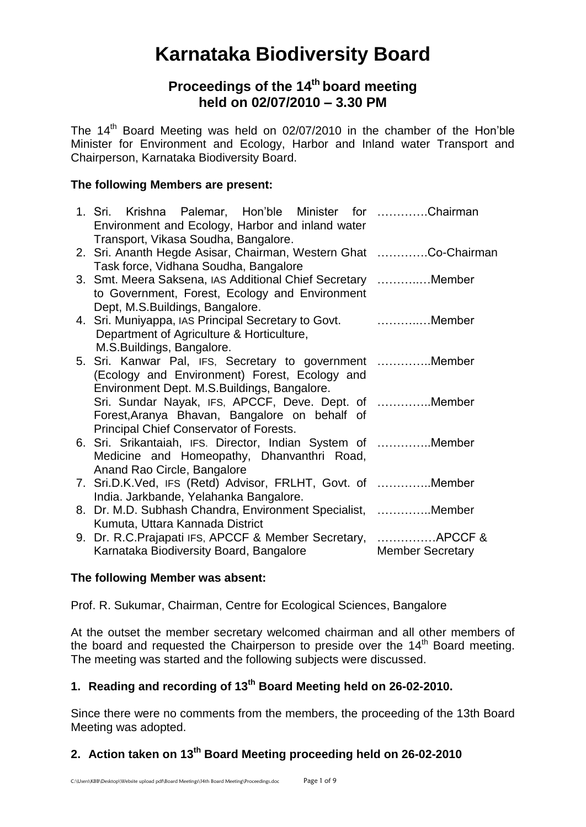# **Karnataka Biodiversity Board**

## **Proceedings of the 14 th board meeting held on 02/07/2010 – 3.30 PM**

The 14<sup>th</sup> Board Meeting was held on 02/07/2010 in the chamber of the Hon'ble Minister for Environment and Ecology, Harbor and Inland water Transport and Chairperson, Karnataka Biodiversity Board.

## **The following Members are present:**

| 1. Sri. Krishna Palemar, Hon'ble Minister for Chairman          |                         |
|-----------------------------------------------------------------|-------------------------|
| Environment and Ecology, Harbor and inland water                |                         |
| Transport, Vikasa Soudha, Bangalore.                            |                         |
| 2. Sri. Ananth Hegde Asisar, Chairman, Western Ghat Co-Chairman |                         |
| Task force, Vidhana Soudha, Bangalore                           |                         |
| 3. Smt. Meera Saksena, IAS Additional Chief Secretary Member    |                         |
| to Government, Forest, Ecology and Environment                  |                         |
| Dept, M.S.Buildings, Bangalore.                                 |                         |
| 4. Sri. Muniyappa, IAS Principal Secretary to Govt.  Member     |                         |
| Department of Agriculture & Horticulture,                       |                         |
| M.S.Buildings, Bangalore.                                       |                         |
| 5. Sri. Kanwar Pal, IFS, Secretary to government Member         |                         |
| (Ecology and Environment) Forest, Ecology and                   |                         |
| Environment Dept. M.S. Buildings, Bangalore.                    |                         |
| Sri. Sundar Nayak, IFS, APCCF, Deve. Dept. of Member            |                         |
| Forest, Aranya Bhavan, Bangalore on behalf of                   |                         |
| Principal Chief Conservator of Forests.                         |                         |
| 6. Sri. Srikantaiah, IFS. Director, Indian System of Member     |                         |
| Medicine and Homeopathy, Dhanvanthri Road,                      |                         |
| Anand Rao Circle, Bangalore                                     |                         |
| 7. Sri.D.K.Ved, IFS (Retd) Advisor, FRLHT, Govt. of Member      |                         |
| India. Jarkbande, Yelahanka Bangalore.                          |                         |
| 8. Dr. M.D. Subhash Chandra, Environment Specialist, Member     |                         |
| Kumuta, Uttara Kannada District                                 |                         |
| 9. Dr. R.C. Prajapati IFS, APCCF & Member Secretary,  APCCF &   |                         |
| Karnataka Biodiversity Board, Bangalore                         | <b>Member Secretary</b> |

## **The following Member was absent:**

Prof. R. Sukumar, Chairman, Centre for Ecological Sciences, Bangalore

At the outset the member secretary welcomed chairman and all other members of the board and requested the Chairperson to preside over the  $14<sup>th</sup>$  Board meeting. The meeting was started and the following subjects were discussed.

## **1. Reading and recording of 13 th Board Meeting held on 26-02-2010.**

Since there were no comments from the members, the proceeding of the 13th Board Meeting was adopted.

## **2. Action taken on 13 th Board Meeting proceeding held on 26-02-2010**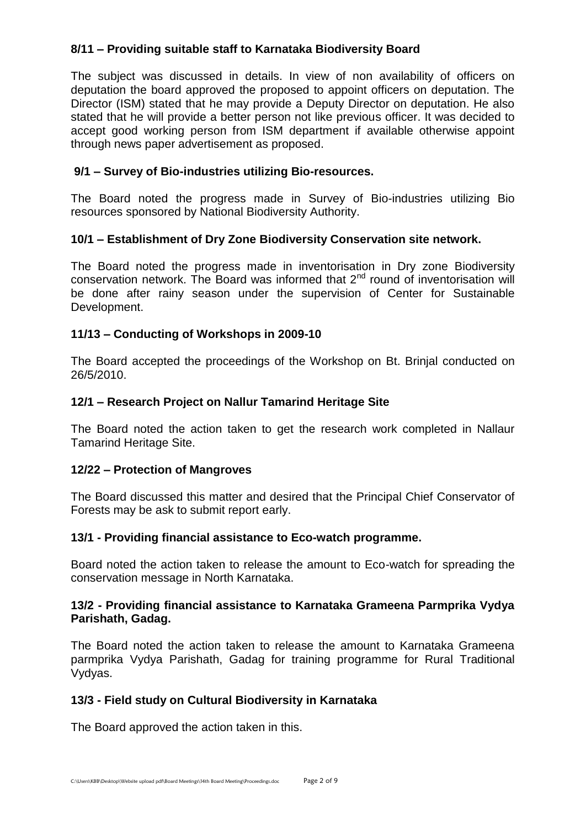## **8/11 – Providing suitable staff to Karnataka Biodiversity Board**

The subject was discussed in details. In view of non availability of officers on deputation the board approved the proposed to appoint officers on deputation. The Director (ISM) stated that he may provide a Deputy Director on deputation. He also stated that he will provide a better person not like previous officer. It was decided to accept good working person from ISM department if available otherwise appoint through news paper advertisement as proposed.

## **9/1 – Survey of Bio-industries utilizing Bio-resources.**

The Board noted the progress made in Survey of Bio-industries utilizing Bio resources sponsored by National Biodiversity Authority.

## **10/1 – Establishment of Dry Zone Biodiversity Conservation site network.**

The Board noted the progress made in inventorisation in Dry zone Biodiversity conservation network. The Board was informed that  $2<sup>nd</sup>$  round of inventorisation will be done after rainy season under the supervision of Center for Sustainable Development.

## **11/13 – Conducting of Workshops in 2009-10**

The Board accepted the proceedings of the Workshop on Bt. Brinjal conducted on 26/5/2010.

## **12/1 – Research Project on Nallur Tamarind Heritage Site**

The Board noted the action taken to get the research work completed in Nallaur Tamarind Heritage Site.

## **12/22 – Protection of Mangroves**

The Board discussed this matter and desired that the Principal Chief Conservator of Forests may be ask to submit report early.

## **13/1 - Providing financial assistance to Eco-watch programme.**

Board noted the action taken to release the amount to Eco-watch for spreading the conservation message in North Karnataka.

## **13/2 - Providing financial assistance to Karnataka Grameena Parmprika Vydya Parishath, Gadag.**

The Board noted the action taken to release the amount to Karnataka Grameena parmprika Vydya Parishath, Gadag for training programme for Rural Traditional Vydyas.

## **13/3 - Field study on Cultural Biodiversity in Karnataka**

The Board approved the action taken in this.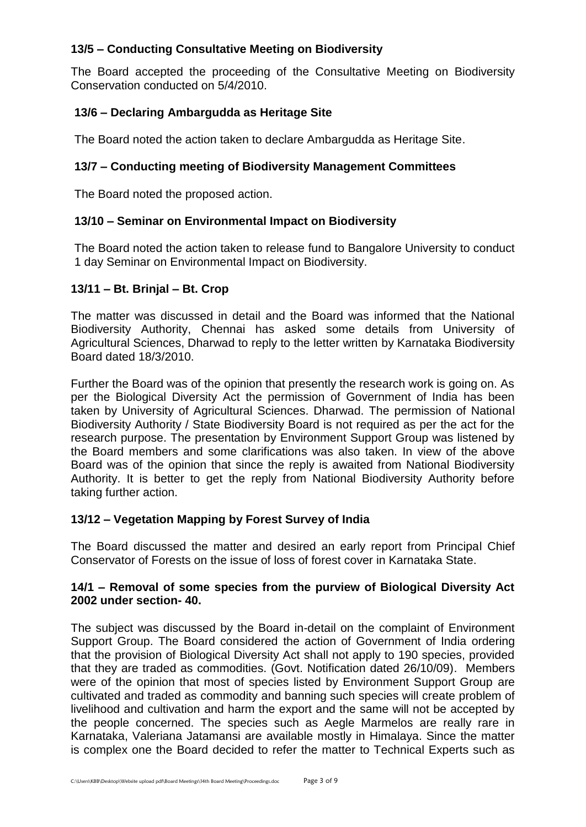## **13/5 – Conducting Consultative Meeting on Biodiversity**

The Board accepted the proceeding of the Consultative Meeting on Biodiversity Conservation conducted on 5/4/2010.

## **13/6 – Declaring Ambargudda as Heritage Site**

The Board noted the action taken to declare Ambargudda as Heritage Site.

## **13/7 – Conducting meeting of Biodiversity Management Committees**

The Board noted the proposed action.

## **13/10 – Seminar on Environmental Impact on Biodiversity**

The Board noted the action taken to release fund to Bangalore University to conduct 1 day Seminar on Environmental Impact on Biodiversity.

## **13/11 – Bt. Brinjal – Bt. Crop**

The matter was discussed in detail and the Board was informed that the National Biodiversity Authority, Chennai has asked some details from University of Agricultural Sciences, Dharwad to reply to the letter written by Karnataka Biodiversity Board dated 18/3/2010.

Further the Board was of the opinion that presently the research work is going on. As per the Biological Diversity Act the permission of Government of India has been taken by University of Agricultural Sciences. Dharwad. The permission of National Biodiversity Authority / State Biodiversity Board is not required as per the act for the research purpose. The presentation by Environment Support Group was listened by the Board members and some clarifications was also taken. In view of the above Board was of the opinion that since the reply is awaited from National Biodiversity Authority. It is better to get the reply from National Biodiversity Authority before taking further action.

## **13/12 – Vegetation Mapping by Forest Survey of India**

The Board discussed the matter and desired an early report from Principal Chief Conservator of Forests on the issue of loss of forest cover in Karnataka State.

#### **14/1 – Removal of some species from the purview of Biological Diversity Act 2002 under section- 40.**

The subject was discussed by the Board in-detail on the complaint of Environment Support Group. The Board considered the action of Government of India ordering that the provision of Biological Diversity Act shall not apply to 190 species, provided that they are traded as commodities. (Govt. Notification dated 26/10/09). Members were of the opinion that most of species listed by Environment Support Group are cultivated and traded as commodity and banning such species will create problem of livelihood and cultivation and harm the export and the same will not be accepted by the people concerned. The species such as Aegle Marmelos are really rare in Karnataka, Valeriana Jatamansi are available mostly in Himalaya. Since the matter is complex one the Board decided to refer the matter to Technical Experts such as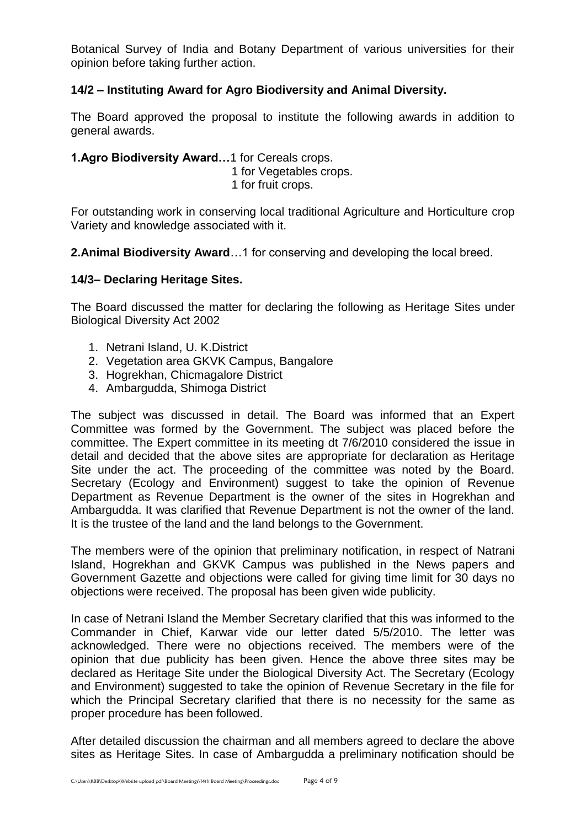Botanical Survey of India and Botany Department of various universities for their opinion before taking further action.

## **14/2 – Instituting Award for Agro Biodiversity and Animal Diversity.**

The Board approved the proposal to institute the following awards in addition to general awards.

## **1.Agro Biodiversity Award…**1 for Cereals crops.

1 for Vegetables crops.

1 for fruit crops.

For outstanding work in conserving local traditional Agriculture and Horticulture crop Variety and knowledge associated with it.

**2.Animal Biodiversity Award**…1 for conserving and developing the local breed.

## **14/3– Declaring Heritage Sites.**

The Board discussed the matter for declaring the following as Heritage Sites under Biological Diversity Act 2002

- 1. Netrani Island, U. K.District
- 2. Vegetation area GKVK Campus, Bangalore
- 3. Hogrekhan, Chicmagalore District
- 4. Ambargudda, Shimoga District

The subject was discussed in detail. The Board was informed that an Expert Committee was formed by the Government. The subject was placed before the committee. The Expert committee in its meeting dt 7/6/2010 considered the issue in detail and decided that the above sites are appropriate for declaration as Heritage Site under the act. The proceeding of the committee was noted by the Board. Secretary (Ecology and Environment) suggest to take the opinion of Revenue Department as Revenue Department is the owner of the sites in Hogrekhan and Ambargudda. It was clarified that Revenue Department is not the owner of the land. It is the trustee of the land and the land belongs to the Government.

The members were of the opinion that preliminary notification, in respect of Natrani Island, Hogrekhan and GKVK Campus was published in the News papers and Government Gazette and objections were called for giving time limit for 30 days no objections were received. The proposal has been given wide publicity.

In case of Netrani Island the Member Secretary clarified that this was informed to the Commander in Chief, Karwar vide our letter dated 5/5/2010. The letter was acknowledged. There were no objections received. The members were of the opinion that due publicity has been given. Hence the above three sites may be declared as Heritage Site under the Biological Diversity Act. The Secretary (Ecology and Environment) suggested to take the opinion of Revenue Secretary in the file for which the Principal Secretary clarified that there is no necessity for the same as proper procedure has been followed.

After detailed discussion the chairman and all members agreed to declare the above sites as Heritage Sites. In case of Ambargudda a preliminary notification should be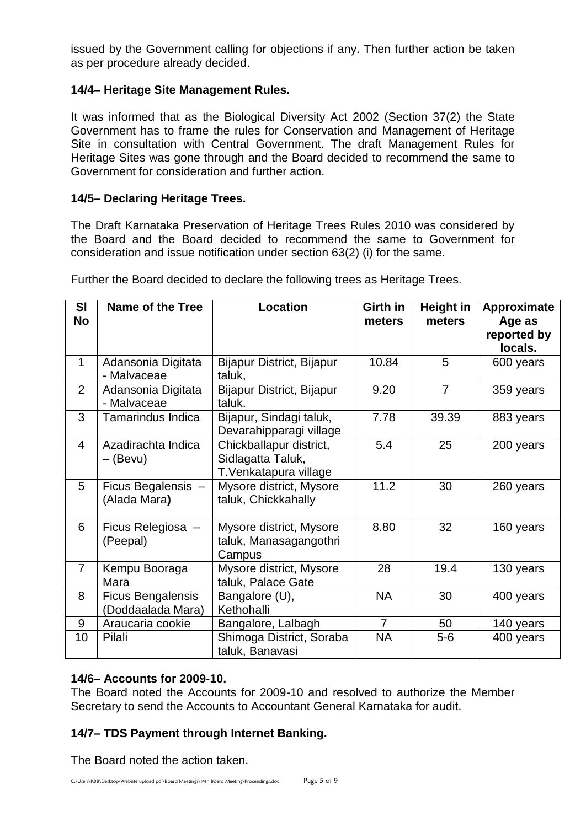issued by the Government calling for objections if any. Then further action be taken as per procedure already decided.

## **14/4– Heritage Site Management Rules.**

It was informed that as the Biological Diversity Act 2002 (Section 37(2) the State Government has to frame the rules for Conservation and Management of Heritage Site in consultation with Central Government. The draft Management Rules for Heritage Sites was gone through and the Board decided to recommend the same to Government for consideration and further action.

## **14/5– Declaring Heritage Trees.**

The Draft Karnataka Preservation of Heritage Trees Rules 2010 was considered by the Board and the Board decided to recommend the same to Government for consideration and issue notification under section 63(2) (i) for the same.

| <b>SI</b><br><b>No</b> | <b>Name of the Tree</b>                       | Location                                                              | Girth in<br>meters | <b>Height in</b><br>meters | Approximate<br>Age as<br>reported by<br>locals. |
|------------------------|-----------------------------------------------|-----------------------------------------------------------------------|--------------------|----------------------------|-------------------------------------------------|
| $\mathbf{1}$           | Adansonia Digitata<br>- Malvaceae             | <b>Bijapur District, Bijapur</b><br>taluk,                            | 10.84              | 5                          | 600 years                                       |
| 2                      | Adansonia Digitata<br>- Malvaceae             | Bijapur District, Bijapur<br>taluk.                                   | 9.20               | $\overline{7}$             | 359 years                                       |
| 3                      | <b>Tamarindus Indica</b>                      | Bijapur, Sindagi taluk,<br>Devarahipparagi village                    | 7.78               | 39.39                      | 883 years                                       |
| 4                      | Azadirachta Indica<br>– (Bevu)                | Chickballapur district,<br>Sidlagatta Taluk,<br>T.Venkatapura village | 5.4                | 25                         | 200 years                                       |
| 5                      | Ficus Begalensis -<br>(Alada Mara)            | Mysore district, Mysore<br>taluk, Chickkahally                        | 11.2               | 30                         | 260 years                                       |
| 6                      | Ficus Relegiosa -<br>(Peepal)                 | Mysore district, Mysore<br>taluk, Manasagangothri<br>Campus           | 8.80               | 32                         | 160 years                                       |
| $\overline{7}$         | Kempu Booraga<br>Mara                         | Mysore district, Mysore<br>taluk, Palace Gate                         | 28                 | 19.4                       | 130 years                                       |
| 8                      | <b>Ficus Bengalensis</b><br>(Doddaalada Mara) | Bangalore (U),<br>Kethohalli                                          | <b>NA</b>          | 30                         | 400 years                                       |
| 9                      | Araucaria cookie                              | Bangalore, Lalbagh                                                    | $\overline{7}$     | 50                         | 140 years                                       |
| 10                     | Pilali                                        | Shimoga District, Soraba<br>taluk, Banavasi                           | <b>NA</b>          | $5-6$                      | 400 years                                       |

Further the Board decided to declare the following trees as Heritage Trees.

## **14/6– Accounts for 2009-10.**

The Board noted the Accounts for 2009-10 and resolved to authorize the Member Secretary to send the Accounts to Accountant General Karnataka for audit.

## **14/7– TDS Payment through Internet Banking.**

The Board noted the action taken.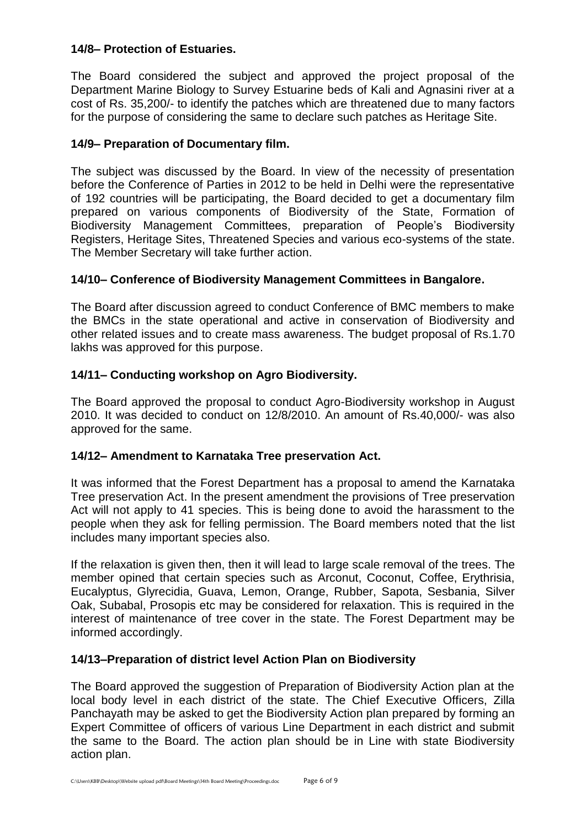## **14/8– Protection of Estuaries.**

The Board considered the subject and approved the project proposal of the Department Marine Biology to Survey Estuarine beds of Kali and Agnasini river at a cost of Rs. 35,200/- to identify the patches which are threatened due to many factors for the purpose of considering the same to declare such patches as Heritage Site.

## **14/9– Preparation of Documentary film.**

The subject was discussed by the Board. In view of the necessity of presentation before the Conference of Parties in 2012 to be held in Delhi were the representative of 192 countries will be participating, the Board decided to get a documentary film prepared on various components of Biodiversity of the State, Formation of Biodiversity Management Committees, preparation of People's Biodiversity Registers, Heritage Sites, Threatened Species and various eco-systems of the state. The Member Secretary will take further action.

## **14/10– Conference of Biodiversity Management Committees in Bangalore.**

The Board after discussion agreed to conduct Conference of BMC members to make the BMCs in the state operational and active in conservation of Biodiversity and other related issues and to create mass awareness. The budget proposal of Rs.1.70 lakhs was approved for this purpose.

## **14/11– Conducting workshop on Agro Biodiversity.**

The Board approved the proposal to conduct Agro-Biodiversity workshop in August 2010. It was decided to conduct on 12/8/2010. An amount of Rs.40,000/- was also approved for the same.

## **14/12– Amendment to Karnataka Tree preservation Act.**

It was informed that the Forest Department has a proposal to amend the Karnataka Tree preservation Act. In the present amendment the provisions of Tree preservation Act will not apply to 41 species. This is being done to avoid the harassment to the people when they ask for felling permission. The Board members noted that the list includes many important species also.

If the relaxation is given then, then it will lead to large scale removal of the trees. The member opined that certain species such as Arconut, Coconut, Coffee, Erythrisia, Eucalyptus, Glyrecidia, Guava, Lemon, Orange, Rubber, Sapota, Sesbania, Silver Oak, Subabal, Prosopis etc may be considered for relaxation. This is required in the interest of maintenance of tree cover in the state. The Forest Department may be informed accordingly.

## **14/13–Preparation of district level Action Plan on Biodiversity**

The Board approved the suggestion of Preparation of Biodiversity Action plan at the local body level in each district of the state. The Chief Executive Officers, Zilla Panchayath may be asked to get the Biodiversity Action plan prepared by forming an Expert Committee of officers of various Line Department in each district and submit the same to the Board. The action plan should be in Line with state Biodiversity action plan.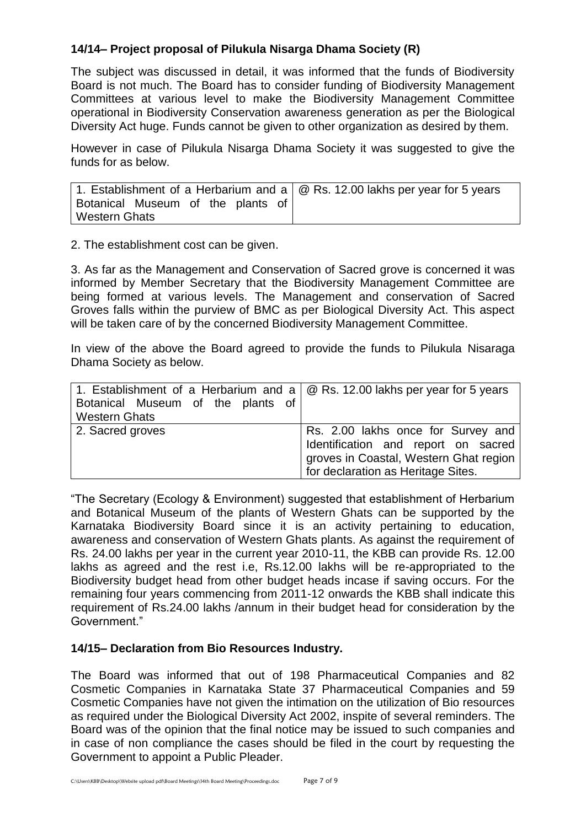## **14/14– Project proposal of Pilukula Nisarga Dhama Society (R)**

The subject was discussed in detail, it was informed that the funds of Biodiversity Board is not much. The Board has to consider funding of Biodiversity Management Committees at various level to make the Biodiversity Management Committee operational in Biodiversity Conservation awareness generation as per the Biological Diversity Act huge. Funds cannot be given to other organization as desired by them.

However in case of Pilukula Nisarga Dhama Society it was suggested to give the funds for as below.

| 1. Establishment of a Herbarium and a $\circ$ Rs. 12.00 lakhs per year for 5 years |  |
|------------------------------------------------------------------------------------|--|
| Botanical Museum of the plants of                                                  |  |
| <b>Western Ghats</b>                                                               |  |

2. The establishment cost can be given.

3. As far as the Management and Conservation of Sacred grove is concerned it was informed by Member Secretary that the Biodiversity Management Committee are being formed at various levels. The Management and conservation of Sacred Groves falls within the purview of BMC as per Biological Diversity Act. This aspect will be taken care of by the concerned Biodiversity Management Committee.

In view of the above the Board agreed to provide the funds to Pilukula Nisaraga Dhama Society as below.

| 1. Establishment of a Herbarium and a $\alpha$ Rs. 12.00 lakhs per year for 5 years |                                                                                                                                                           |
|-------------------------------------------------------------------------------------|-----------------------------------------------------------------------------------------------------------------------------------------------------------|
| Botanical Museum of the plants of                                                   |                                                                                                                                                           |
| <b>Western Ghats</b>                                                                |                                                                                                                                                           |
| 2. Sacred groves                                                                    | Rs. 2.00 lakhs once for Survey and<br>Identification and report on sacred<br>groves in Coastal, Western Ghat region<br>for declaration as Heritage Sites. |

"The Secretary (Ecology & Environment) suggested that establishment of Herbarium and Botanical Museum of the plants of Western Ghats can be supported by the Karnataka Biodiversity Board since it is an activity pertaining to education, awareness and conservation of Western Ghats plants. As against the requirement of Rs. 24.00 lakhs per year in the current year 2010-11, the KBB can provide Rs. 12.00 lakhs as agreed and the rest i.e, Rs.12.00 lakhs will be re-appropriated to the Biodiversity budget head from other budget heads incase if saving occurs. For the remaining four years commencing from 2011-12 onwards the KBB shall indicate this requirement of Rs.24.00 lakhs /annum in their budget head for consideration by the Government."

## **14/15– Declaration from Bio Resources Industry.**

The Board was informed that out of 198 Pharmaceutical Companies and 82 Cosmetic Companies in Karnataka State 37 Pharmaceutical Companies and 59 Cosmetic Companies have not given the intimation on the utilization of Bio resources as required under the Biological Diversity Act 2002, inspite of several reminders. The Board was of the opinion that the final notice may be issued to such companies and in case of non compliance the cases should be filed in the court by requesting the Government to appoint a Public Pleader.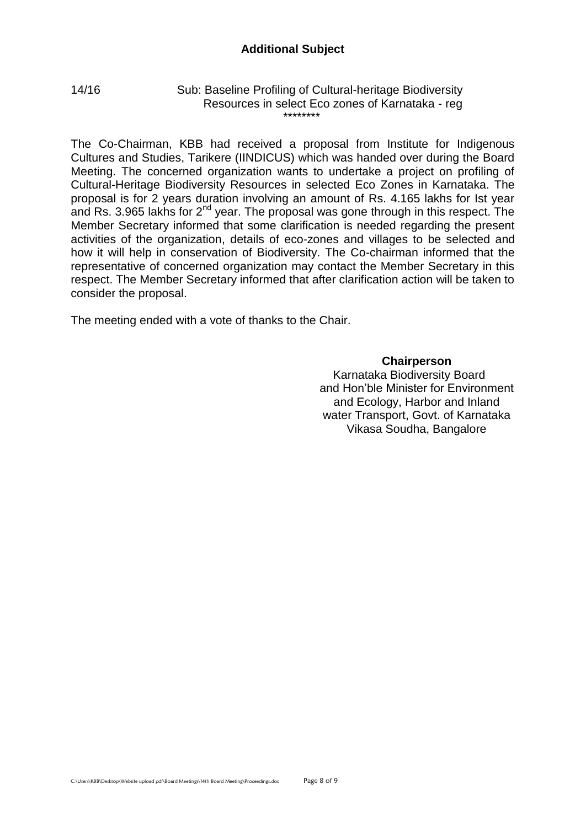#### 14/16 Sub: Baseline Profiling of Cultural-heritage Biodiversity Resources in select Eco zones of Karnataka - reg \*\*\*\*\*\*\*\*

The Co-Chairman, KBB had received a proposal from Institute for Indigenous Cultures and Studies, Tarikere (IINDICUS) which was handed over during the Board Meeting. The concerned organization wants to undertake a project on profiling of Cultural-Heritage Biodiversity Resources in selected Eco Zones in Karnataka. The proposal is for 2 years duration involving an amount of Rs. 4.165 lakhs for Ist year and Rs. 3.965 lakhs for  $2<sup>nd</sup>$  year. The proposal was gone through in this respect. The Member Secretary informed that some clarification is needed regarding the present activities of the organization, details of eco-zones and villages to be selected and how it will help in conservation of Biodiversity. The Co-chairman informed that the representative of concerned organization may contact the Member Secretary in this respect. The Member Secretary informed that after clarification action will be taken to consider the proposal.

The meeting ended with a vote of thanks to the Chair.

#### **Chairperson**

 Karnataka Biodiversity Board and Hon'ble Minister for Environment and Ecology, Harbor and Inland water Transport, Govt. of Karnataka Vikasa Soudha, Bangalore